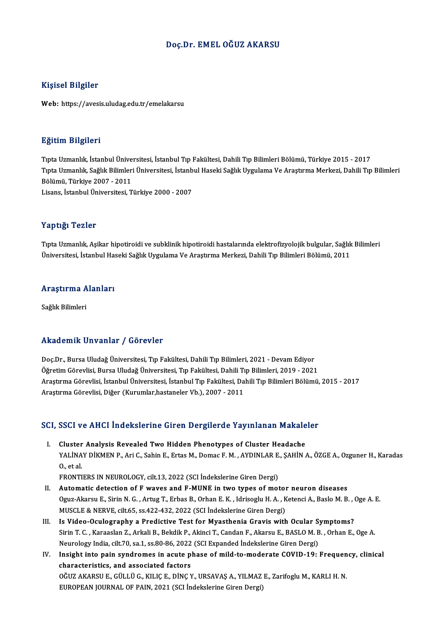#### Doç.Dr. EMELOĞUZ AKARSU

#### Kişisel Bilgiler

Web: https://avesis.uludag.edu.tr/emelakarsu

#### Eğitim Bilgileri

<mark>Eğitim Bilgileri</mark><br>Tıpta Uzmanlık, İstanbul Üniversitesi, İstanbul Tıp Fakültesi, Dahili Tıp Bilimleri Bölümü, Türkiye 2015 - 2017<br>Tıpta Uzmanlık, Sağlık Bilimleri Üniversitesi, İstanbul Haselti Sağlık Uygulama Ve Arastırm Tıpta Uzmanlık, Sağlık Bilimleri Üniversitesi, İstanbul Haseki Sağlık Uygulama Ve Araştırma Merkezi, Dahili Tıp Bilimleri<br>Bölümü, Türkiye 2007 - 2011 Tıpta Uzmanlık, İstanbul Ünive<br>Tıpta Uzmanlık, Sağlık Bilimler<br>Bölümü, Türkiye 2007 - 2011<br>Lisans, İstanbul Üniversitesi Lisans, İstanbulÜniversitesi,Türkiye 2000 -2007

#### Yaptığı Tezler

Tıpta Uzmanlık, Aşikar hipotiroidi ve subklinik hipotiroidi hastalarında elektrofizyolojik bulgular, Sağlık Bilimleri Üniversitesi, İstanbul Haseki Sağlık Uygulama Ve Araştırma Merkezi, Dahili Tıp Bilimleri Bölümü, 2011

### <sub>universitesi, istanbul Has</sub><br>Araştırma Alanları <mark>Araştırma A</mark><br>Sağlık Bilimleri

## Akademik Unvanlar / Görevler

Doç.Dr., Bursa Uludağ Üniversitesi, Tıp Fakültesi, Dahili Tıp Bilimleri, 2021 - Devam Ediyor Öğretim Görevlisi, Bursa Uludağ Üniversitesi, Tıp Fakültesi, Dahili Tıp Bilimleri, 2019 - 2021 Doç.Dr., Bursa Uludağ Üniversitesi, Tıp Fakültesi, Dahili Tıp Bilimleri, 2021 - Devam Ediyor<br>Öğretim Görevlisi, Bursa Uludağ Üniversitesi, Tıp Fakültesi, Dahili Tıp Bilimleri, 2019 - 2021<br>Araştırma Görevlisi, İstanbul Üniv Öğretim Görevlisi, Bursa Uludağ Üniversitesi, Tıp Fakültesi, Dahili Tı<br>Araştırma Görevlisi, İstanbul Üniversitesi, İstanbul Tıp Fakültesi, Da<br>Araştırma Görevlisi, Diğer (Kurumlar,hastaneler Vb.), 2007 - 2011

# Araşurma Göreviisi, Diger (Kurumiar,nastaneler vb.), 2007 - 2011<br>SCI, SSCI ve AHCI İndekslerine Giren Dergilerde Yayınlanan Makaleler

CI, SSCI ve AHCI İndekslerine Giren Dergilerde Yayınlanan Makale<br>I. Cluster Analysis Revealed Two Hidden Phenotypes of Cluster Headache<br>XALİNAY DİKMEN B. Ari C. Sabin E. Ertas M. Damas E. M. AYDINLAR E. SAHİN YOST VO TITUST INGUNDIUTINU GITUR DUI GITUTGU TAYTINGINI PRANAIDIOI<br>Cluster Analysis Revealed Two Hidden Phenotypes of Cluster Headache<br>YALİNAY DİKMEN P., Ari C., Sahin E., Ertas M., Domac F. M. , AYDINLAR E., ŞAHİN A., ÖZ I. Cluster Analysis Revealed Two Hidden Phenotypes of Cluster Headache<br>YALINAY DIKMEN P., Ari C., Sahin E., Ertas M., Domac F. M., AYDINLAR E., ŞAHIN<br>O., et al.<br>FRONTIERS IN NEUROLOGY, cilt.13, 2022 (SCI İndekslerine Giren YALİNAY DİKMEN P., Ari C., Sahin E., Ertas M., Domac F. M. , AYDINLAR E.<br>O., et al.<br>FRONTIERS IN NEUROLOGY, cilt.13, 2022 (SCI İndekslerine Giren Dergi)<br>Automatis datastion of E wayss and E MINE in two types of moi

- O., et al.<br>FRONTIERS IN NEUROLOGY, cilt.13, 2022 (SCI Indekslerine Giren Dergi)<br>II. Automatic detection of F waves and F-MUNE in two types of motor neuron diseases<br>Ogue Alexau E. Sirin N.C., Artug T. Erbas B. Orban E.K., I Oguz-Akarsu E., Sirin N. G. , Artug T., Erbas B., Orhan E. K. , Idrisoglu H. A. , Ketenci A., Baslo M. B. , Oge A. E.<br>MUSCLE & NERVE, cilt.65, ss.422-432, 2022 (SCI İndekslerine Giren Dergi) Automatic detection of F waves and F-MUNE in two types of motol<br>Oguz-Akarsu E., Sirin N. G., Artug T., Erbas B., Orhan E. K., Idrisoglu H. A., K<br>MUSCLE & NERVE, cilt.65, ss.422-432, 2022 (SCI İndekslerine Giren Dergi)<br>Is V Oguz-Akarsu E., Sirin N. G., Artug T., Erbas B., Orhan E. K., Idrisoglu H. A., Ketenci A., Baslo M. B., (<br>MUSCLE & NERVE, cilt.65, ss.422-432, 2022 (SCI Indekslerine Giren Dergi)<br>III. Is Video-Oculography a Predictive Test
- Sirin T. C. , Karaaslan Z., Arkali B., Bekdik P., Akinci T., Candan F., Akarsu E., BASLO M. B. , Orhan E., Oge A.<br>Neurology India, cilt.70, sa.1, ss.80-86, 2022 (SCI Expanded İndekslerine Giren Dergi) Is Video-Oculography a Predictive Test for Myasthenia Gravis with Ocular S<br>Sirin T. C. , Karaaslan Z., Arkali B., Bekdik P., Akinci T., Candan F., Akarsu E., BASLO M. B<br>Neurology India, cilt.70, sa.1, ss.80-86, 2022 (SCI E Sirin T. C. , Karaaslan Z., Arkali B., Bekdik P., Akinci T., Candan F., Akarsu E., BASLO M. B. , Orhan E., Oge A.<br>Neurology India, cilt.70, sa.1, ss.80-86, 2022 (SCI Expanded Indekslerine Giren Dergi)<br>IV. Insight into pain
- Neurology India, cilt.70, sa.1, ss.80-86, 2022<br>Insight into pain syndromes in acute p<br>characteristics, and associated factors Insight into pain syndromes in acute phase of mild-to-moderate COVID-19: Frequen<br>characteristics, and associated factors<br>OĞUZ AKARSU E., GÜLLÜ G., KILIÇ E., DİNÇ Y., URSAVAŞ A., YILMAZ E., Zarifoglu M., KARLI H. N.<br>FUROPEA characteristics, and associated factors<br>OĞUZ AKARSU E., GÜLLÜ G., KILIÇ E., DİNÇ Y., URSAVAŞ A., YILMAZ E., Zarifoglu M., KARLI H. N.<br>EUROPEAN JOURNAL OF PAIN, 2021 (SCI İndekslerine Giren Dergi)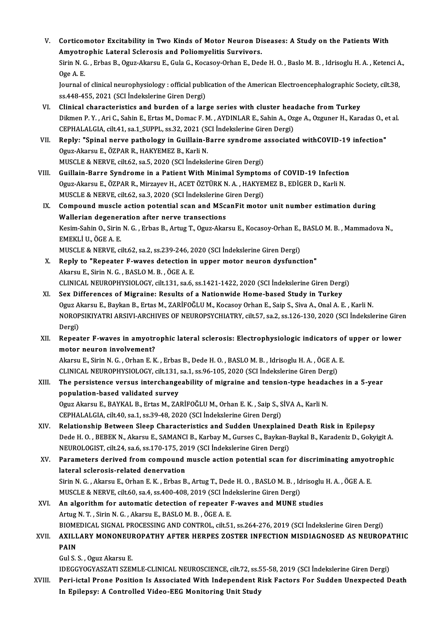- V. Corticomotor Excitability in Two Kinds of Motor Neuron Diseases: A Study on the Patients With<br>Amystraphie Lateral Sclaresis and Poliamyslitis Survivors Corticomotor Excitability in Two Kinds of Motor Neuron Di<br>Amyotrophic Lateral Sclerosis and Poliomyelitis Survivors.<br>Sinin N.C., Erbes B. Ogus Alsnau E. Cula G. Kossesy Orben E. Ded Corticomotor Excitability in Two Kinds of Motor Neuron Diseases: A Study on the Patients With<br>Amyotrophic Lateral Sclerosis and Poliomyelitis Survivors.<br>Sirin N. G. , Erbas B., Oguz-Akarsu E., Gula G., Kocasoy-Orhan E., De Amyotrophic Lateral Sclerosis and Poliomyelitis Survivors.<br>Sirin N. G. , Erbas B., Oguz-Akarsu E., Gula G., Kocasoy-Orhan E., Dede H. O. , Baslo M. B. , Idrisoglu H. A. , Ketenci A.,<br>Oge A. E. Sirin N. G. , Erbas B., Oguz-Akarsu E., Gula G., Kocasoy-Orhan E., Dede H. O. , Baslo M. B. , Idrisoglu H. A. , Ketenci A<br>Oge A. E.<br>Journal of clinical neurophysiology : official publication of the American Electroencephal Oge A. E.<br>Journal of clinical neurophysiology : official publi<br>ss.448-455, 2021 (SCI İndekslerine Giren Dergi)<br>Clinical characteristics and burden of a ları VI. Clinical characteristics and burden of a large series with cluster headache fromTurkey Dikmen P.Y., Ari C., Sahin E., Ertas M., Domac F.M., AYDINLAR E., Sahin A., Ozge A., Ozguner H., Karadas O., et al. Clinical characteristics and burden of a large series with cluster hea<br>Dikmen P. Y. , Ari C., Sahin E., Ertas M., Domac F. M. , AYDINLAR E., Sahin A., Oz<br>CEPHALALGIA, cilt.41, sa.1\_SUPPL, ss.32, 2021 (SCI İndekslerine Gire Dikmen P. Y., Ari C., Sahin E., Ertas M., Domac F. M., AYDINLAR E., Sahin A., Ozge A., Ozguner H., Karadas O., e<br>CEPHALALGIA, cilt.41, sa.1\_SUPPL, ss.32, 2021 (SCI indekslerine Giren Dergi)<br>VII. Reply: "Spinal nerve pathol CEPHALALGIA, cilt.41, sa.1\_SUPPL, ss.32, 2021 (SCALL)<br>Reply: "Spinal nerve pathology in Guillain-B<br>Oguz-Akarsu E., ÖZPAR R., HAKYEMEZ B., Karli N. Reply: "Spinal nerve pathology in Guillain-Barre syndrome a<br>Oguz-Akarsu E., ÖZPAR R., HAKYEMEZ B., Karli N.<br>MUSCLE & NERVE, cilt.62, sa.5, 2020 (SCI İndekslerine Giren Dergi)<br>Cuillain Barre Syndrome in e Batient With Minim Oguz-Akarsu E., ÖZPAR R., HAKYEMEZ B., Karli N.<br>MUSCLE & NERVE, cilt.62, sa.5, 2020 (SCI İndekslerine Giren Dergi)<br>VIII. Guillain-Barre Syndrome in a Patient With Minimal Symptoms of COVID-19 Infection MUSCLE & NERVE, cilt.62, sa.5, 2020 (SCI İndekslerine Giren Dergi)<br>Guillain-Barre Syndrome in a Patient With Minimal Symptoms of COVID-19 Infection<br>Oguz-Akarsu E., ÖZPAR R., Mirzayev H., ACET ÖZTÜRK N.A. , HAKYEMEZ B., EDİ Guillain-Barre Syndrome in a Patient With Minimal Sympton<br>Oguz-Akarsu E., ÖZPAR R., Mirzayev H., ACET ÖZTÜRK N. A. , HAKYEI<br>MUSCLE & NERVE, cilt.62, sa.3, 2020 (SCI İndekslerine Giren Dergi)<br>Comnound muscle estien netentia IX. Compound muscle action potential scan and MScanFit motor unit number estimation during Wallerian degeneration after nerve transections MUSCLE & NERVE, cilt.62, sa.3, 2020 (SCI Indekslerine Giren Dergi) Compound muscle action potential scan and MScanFit motor unit number estimation during<br>Wallerian degeneration after nerve transections<br>Kesim-Sahin O., Sirin N. G. , Erbas B., Artug T., Oguz-Akarsu E., Kocasoy-Orhan E., BAS Wallerian degener<br>Kesim-Sahin O., Sirin<br>EMEKLİ U., ÖGE A. E.<br>MUSCLE & NEBVE Kesim-Sahin O., Sirin N. G. , Erbas B., Artug T., Oguz-Akarsu E., Kocasoy-Orhan E.,<br>EMEKLİ U., ÖGE A. E.<br>MUSCLE & NERVE, cilt.62, sa.2, ss.239-246, 2020 (SCI İndekslerine Giren Dergi)<br>Penlu ta "Penestar E. waves detastion EMEKLI U., ÖGE A. E.<br>MUSCLE & NERVE, cilt.62, sa.2, ss.239-246, 2020 (SCI Indekslerine Giren Dergi)<br>X. Reply to "Repeater F-waves detection in upper motor neuron dysfunction"<br>Akarsu E., Sirin N. G., BASLO M. B., ÖGE A. E. MUSCLE & NERVE, cilt.62, sa.2, ss.239-246, 2020 (SCI Indekslerine Giren Dergi) CLINICALNEUROPHYSIOLOGY, cilt.131, sa.6, ss.1421-1422,2020 (SCI İndekslerineGirenDergi) XI. Sex Differences of Migraine: Results of a Nationwide Home-based Study in Turkey Oguz Akarsu E., Baykan B., Ertas M., ZARİFOĞLU M., Kocasoy Orhan E., Saip S., Siva A., Onal A. E., Karli N. Sex Differences of Migraine: Results of a Nationwide Home-based Study in Turkey<br>Oguz Akarsu E., Baykan B., Ertas M., ZARİFOĞLU M., Kocasoy Orhan E., Saip S., Siva A., Onal A. E. , Karli N.<br>NOROPSIKIYATRI ARSIVI-ARCHIVES OF Oguz A<br>NOROP<br>Dergi)<br>Benea NOROPSIKIYATRI ARSIVI-ARCHIVES OF NEUROPSYCHIATRY, cilt.57, sa.2, ss.126-130, 2020 (SCI İndekslerine Gire:<br>Dergi)<br>XII. Repeater F-waves in amyotrophic lateral sclerosis: Electrophysiologic indicators of upper or lower<br>mete Dergi)<br>Repeater F-waves in amyotr<br>motor neuron involvement?<br>Altareu E. Sirin N.C. Orban E. K Repeater F-waves in amyotrophic lateral sclerosis: Electrophysiologic indicators of<br>motor neuron involvement?<br>Akarsu E., Sirin N. G. , Orhan E. K. , Erbas B., Dede H. O. , BASLO M. B. , Idrisoglu H. A. , ÖGE A. E.<br>CLINICAL motor neuron involvement?<br>Akarsu E., Sirin N. G. , Orhan E. K. , Erbas B., Dede H. O. , BASLO M. B. , Idrisoglu H. A. , ÖGE A. E.<br>CLINICAL NEUROPHYSIOLOGY, cilt.131, sa.1, ss.96-105, 2020 (SCI İndekslerine Giren Dergi) Akarsu E., Sirin N. G., Orhan E. K., Erbas B., Dede H. O., BASLO M. B., Idrisoglu H. A., ÖGE A. E.<br>CLINICAL NEUROPHYSIOLOGY, cilt.131, sa.1, ss.96-105, 2020 (SCI İndekslerine Giren Dergi)<br>XIII. The persistence versus inter CLINICAL NEUROPHYSIOLOGY, cilt.131,<br>The persistence versus interchange<br>population-based validated survey The persistence versus interchangeability of migraine and tension-type heada<br>population-based validated survey<br>Oguz Akarsu E., BAYKAL B., Ertas M., ZARİFOĞLU M., Orhan E. K. , Saip S., SİVA A., Karli N.<br>CERHALALGIA gilt 40 population-based validated survey<br>Oguz Akarsu E., BAYKAL B., Ertas M., ZARİFOĞLU M., Orhan E. K. , Saip S., SİVA A., Karli N.<br>CEPHALALGIA, cilt.40, sa.1, ss.39-48, 2020 (SCI İndekslerine Giren Dergi) XIV. Relationship Between Sleep Characteristics and Sudden Unexplained Death Risk in Epilepsy Dede H.O., BEBEK N., Akarsu E., SAMANCI B., Karbay M., Gurses C., Baykan-Baykal B., Karadeniz D., Gokyigit A. Relationship Between Sleep Characteristics and Sudden Unexplaine<br>Dede H. O. , BEBEK N., Akarsu E., SAMANCI B., Karbay M., Gurses C., Baykan-F<br>NEUROLOGIST, cilt.24, sa.6, ss.170-175, 2019 (SCI İndekslerine Giren Dergi)<br>Para XV. Parameters derived from compound muscle action potential scan for discriminating amyotrophic<br>lateral sclerosis-related denervation NEUROLOGIST, cilt.24, sa.6, ss.170-175, 20<br>Parameters derived from compound<br>lateral sclerosis-related denervation<br>Sirin N.C., Altarsu E. Orban E.K., Erbas P. Parameters derived from compound muscle action potential scan for discriminating amyot:<br>lateral sclerosis-related denervation<br>Sirin N. G. , Akarsu E., Orhan E. K. , Erbas B., Artug T., Dede H. O. , BASLO M. B. , Idrisoglu lateral sclerosis-related denervation<br>Sirin N. G. , Akarsu E., Orhan E. K. , Erbas B., Artug T., Dede H. O. , BASLO M. B. , Id<br>MUSCLE & NERVE, cilt.60, sa.4, ss.400-408, 2019 (SCI İndekslerine Giren Dergi)<br>An algorithm for Sirin N. G., Akarsu E., Orhan E. K., Erbas B., Artug T., Dede H. O., BASLO M. B., Idrisoglu<br>MUSCLE & NERVE, cilt.60, sa.4, ss.400-408, 2019 (SCI indekslerine Giren Dergi)<br>XVI. An algorithm for automatic detection of repeat MUSCLE & NERVE, cilt.60, sa.4, ss.400-408, 2019 (SCI Indekslerine Giren Dergi)<br>XVI. An algorithm for automatic detection of repeater F-waves and MUNE studies<br>Artug N.T., Sirin N.G., Akarsu E., BASLO M.B., ÖGE A.E. An algorithm for automatic detection of repeater F-waves and MUNE studies<br>Artug N. T. , Sirin N. G. , Akarsu E., BASLO M. B. , ÖGE A. E.<br>BIOMEDICAL SIGNAL PROCESSING AND CONTROL, cilt.51, ss.264-276, 2019 (SCI İndekslerine Artug N. T. , Sirin N. G. , Akarsu E., BASLO M. B. , ÖGE A. E.<br>BIOMEDICAL SIGNAL PROCESSING AND CONTROL, cilt.51, ss.264-276, 2019 (SCI İndekslerine Giren Dergi)<br>XVII. AXILLARY MONONEUROPATHY AFTER HERPES ZOSTER INFECT **BIOME<br>AXILL<br>PAIN AXILLARY MONONEUI<br>PAIN<br>Gul S. S. , Oguz Akarsu E.<br>IDECCYOCYASZATI SZEN PAIN**<br>Gul S. S. , Oguz Akarsu E.<br>IDEGGYOGYASZATI SZEMLE-CLINICAL NEUROSCIENCE, cilt.72, ss.55-58, 2019 (SCI İndekslerine Giren Dergi) XVIII. Peri-ictal Prone Position Is Associated With Independent Risk Factors For Sudden Unexpected Death
	- In Epilepsy: A Controlled Video-EEG Monitoring Unit Study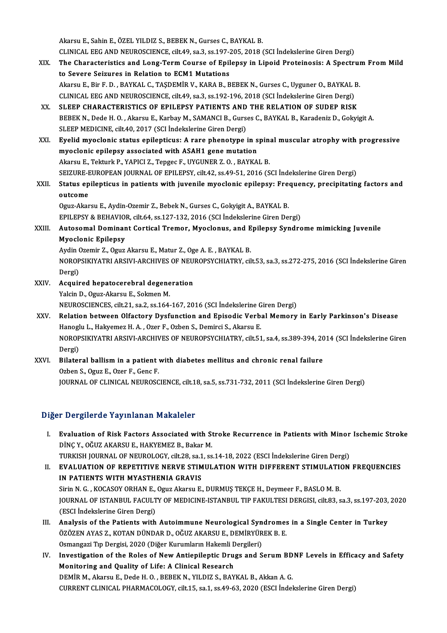Akarsu E., Sahin E., ÖZEL YILDIZ S., BEBEK N., Gurses C., BAYKAL B. Akarsu E., Sahin E., ÖZEL YILDIZ S., BEBEK N., Gurses C., BAYKAL B.<br>CLINICAL EEG AND NEUROSCIENCE, cilt.49, sa.3, ss.197-205, 2018 (SCI İndekslerine Giren Dergi)<br>The Characteristics and Lang Term Course of Enilaney in Line

- XIX. The Characteristics and Long-Term Course of Epilepsy in Lipoid Proteinosis: A Spectrum From Mild<br>to Severe Seizures in Relation to ECM1 Mutations CLINICAL EEG AND NEUROSCIENCE, cilt.49, sa.3, ss.197-2<br>The Characteristics and Long-Term Course of Epil<br>to Severe Seizures in Relation to ECM1 Mutations<br>Algrey E. Bir E. D., BAYKAL G. TASDEMIR V. KARA B. B Akarsu E., Bir F. D., BAYKAL C., TAŞDEMİR V., KARA B., BEBEK N., Gurses C., Uyguner O., BAYKAL B. to Severe Seizures in Relation to ECM1 Mutations<br>Akarsu E., Bir F. D. , BAYKAL C., TAŞDEMİR V., KARA B., BEBEK N., Gurses C., Uyguner O., BAYKAL I<br>CLINICAL EEG AND NEUROSCIENCE, cilt.49, sa.3, ss.192-196, 2018 (SCI İndeksl Akarsu E., Bir F. D., BAYKAL C., TAŞDEMİR V., KARA B., BEBEK N., Gurses C., Uyguner O., BAYKAL B<br>CLINICAL EEG AND NEUROSCIENCE, cilt49, sa.3, ss.192-196, 2018 (SCI İndekslerine Giren Dergi)<br>XX. SLEEP CHARACTERISTICS OF EPI
- CLINICAL EEG AND NEUROSCIENCE, cilt.49, sa.3, ss.192-196, 2018 (SCI İndekslerine Giren Dergi)<br>SLEEP CHARACTERISTICS OF EPILEPSY PATIENTS AND THE RELATION OF SUDEP RISK<br>BEBEK N., Dede H. O. , Akarsu E., Karbay M., SAMANCI B XX. SLEEP CHARACTERISTICS OF EPILEPSY PATIENTS AND THE RELATION OF SUDEP RISK<br>BEBEK N., Dede H. O., Akarsu E., Karbay M., SAMANCI B., Gurses C., BAYKAL B., Karadeniz D., Gokyigit A.<br>SLEEP MEDICINE. cilt.40. 2017 (SCI İndek BEBEK N., Dede H. O. , Akarsu E., Karbay M., SAMANCI B., Gurses C., BAYKAL B., Karadeniz D., Gokyigit A.<br>SLEEP MEDICINE, cilt.40, 2017 (SCI İndekslerine Giren Dergi)<br>XXI. Byelid myoclonic status epilepticus: A rare phenoty
- SLEEP MEDICINE, cilt.40, 2017 (SCI Indekslerine Giren Dergi)<br>Eyelid myoclonic status epilepticus: A rare phenotype in s<br>myoclonic epilepsy associated with ASAH1 gene mutation<br>Altareu E. Telturk B. YABICLZ, Tengee E. UVCUNE Eyelid myoclonic status epilepticus: A rare phenotype in spin:<br>myoclonic epilepsy associated with ASAH1 gene mutation<br>Akarsu E., Tekturk P., YAPICI Z., Tepgec F., UYGUNER Z. O., BAYKAL B.<br>SEIZURE EUROBEAN JOURNAL OF ERU ER myoclonic epilepsy associated with ASAH1 gene mutation<br>Akarsu E., Tekturk P., YAPICI Z., Tepgec F., UYGUNER Z. O. , BAYKAL B.<br>SEIZURE-EUROPEAN JOURNAL OF EPILEPSY, cilt.42, ss.49-51, 2016 (SCI İndekslerine Giren Dergi) Akarsu E., Tekturk P., YAPICI Z., Tepgec F., UYGUNER Z. O. , BAYKAL B.<br>SEIZURE-EUROPEAN JOURNAL OF EPILEPSY, cilt.42, ss.49-51, 2016 (SCI İndekslerine Giren Dergi)<br>XXII. Status epilepticus in patients with juvenile myoclon
- SEIZURE-E<br>Status ep<br>outcome<br>Oguz Aler Status epilepticus in patients with juvenile myoclonic epilepsy: Free<br>outcome<br>Oguz-Akarsu E., Aydin-Ozemir Z., Bebek N., Gurses C., Gokyigit A., BAYKAL B.<br>EPU EBSY & REHAVIOR, silt 64, ss 127, 122, 2016 (SCL indekskeiging

outcome<br>Oguz-Akarsu E., Aydin-Ozemir Z., Bebek N., Gurses C., Gokyigit A., BAYKAL B.<br>EPILEPSY & BEHAVIOR, cilt.64, ss.127-132, 2016 (SCI İndekslerine Giren Dergi)<br>Autosomal Dominant Contigal Troman, Muoglanus, and Enilaney

Oguz-Akarsu E., Aydin-Ozemir Z., Bebek N., Gurses C., Gokyigit A., BAYKAL B.<br>EPILEPSY & BEHAVIOR, cilt.64, ss.127-132, 2016 (SCI İndekslerine Giren Dergi)<br>XXIII. Autosomal Dominant Cortical Tremor, Myoclonus, and Epile EPILEPSY & BEHAVIO<br>Autosomal Dominar<br>Myoclonic Epilepsy<br>Aydin Oramin 7 Oray Autosomal Dominant Cortical Tremor, Myoclonus, and E<br>Myoclonic Epilepsy<br>Aydin Ozemir Z., Oguz Akarsu E., Matur Z., Oge A. E. , BAYKAL B.<br>NOROBSIKIVATEL ARSIVI ARGHIVES OF NEUPORSYCHIATRY Sil

NOROPSIKIYATRI ARSIVI-ARCHIVES OF NEUROPSYCHIATRY, cilt.53, sa.3, ss.272-275, 2016 (SCI İndekslerine Giren<br>Dergi) Aydin (<br>NOROP<br>Dergi)<br>Acquir NOROPSIKIYATRI ARSIVI-ARCHIVES OF NEU!<br>Dergi)<br>XXIV. Acquired hepatocerebral degeneration

- Dergi)<br>Acquired hepatocerebral degene<br>Yalcin D., Oguz-Akarsu E., Sokmen M.<br>NEUPOSCIENCES silt 21, se 2, se 164 Acquired hepatocerebral degeneration<br>Yalcin D., Oguz-Akarsu E., Sokmen M.<br>NEUROSCIENCES, cilt.21, sa.2, ss.164-167, 2016 (SCI İndekslerine Giren Dergi)<br>Pelation between Olfastery Dysfunstion and Enisodis Verbal Memory Yalcin D., Oguz-Akarsu E., Sokmen M.<br>NEUROSCIENCES, cilt.21, sa.2, ss.164-167, 2016 (SCI İndekslerine Giren Dergi)<br>XXV. Relation between Olfactory Dysfunction and Episodic Verbal Memory in Early Parkinson's Disease
- NEUROSCIENCES, cilt.21, sa.2, ss.164-167, 2016 (SCI İndekslerine G<br>Relation between Olfactory Dysfunction and Episodic Verb.<br>Hanoglu L., Hakyemez H. A. , Ozer F., Ozben S., Demirci S., Akarsu E.<br>NOROBSIKIVATELARSIYI ARCHIV NOROPSIKIYATRI ARSIVI-ARCHIVES OF NEUROPSYCHIATRY, cilt.51, sa.4, ss.389-394, 2014 (SCI İndekslerine Giren<br>Dergi) Hanoglu L., Hakyemez H. A., Ozer F., Ozben S., Demirci S., Akarsu E. NOROPSIKIYATRI ARSIVI-ARCHIVES OF NEUROPSYCHIATRY, cilt.51, sa.4, ss.389-394, 20<br>Dergi)<br>XXVI. Bilateral ballism in a patient with diabetes mellitus and chronic renal failure<br>Orban S. Orug E. Oran E. Cana F.
- Dergi)<br>Bilateral ballism in a patient v<br>Ozben S., Oguz E., Ozer F., Genc F.<br>JOUPMAL OF CLINICAL NEUPOSC Ozben S., Oguz E., Ozer F., Genc F.<br>JOURNAL OF CLINICAL NEUROSCIENCE, cilt.18, sa.5, ss.731-732, 2011 (SCI İndekslerine Giren Dergi)

### Diğer Dergilerde Yayınlanan Makaleler

- Iger Dergilerde Yayınlanan Makaleler<br>I. Evaluation of Risk Factors Associated with Stroke Recurrence in Patients with Minor Ischemic Stroke<br>Rinc y Ağuz Akapsu F. HAKYEMEZ B. Pokar M POLISILOT AUTHOL PARAMOLOM<br>Evaluation of Risk Factors Associated with St<br>DİNÇY., OĞUZ AKARSU E., HAKYEMEZ B., Bakar M.<br>TURKISH JOURNAL OF NEUROLOCY silt 29 sa 1 ss Evaluation of Risk Factors Associated with Stroke Recurrence in Patients with Minor<br>DİNÇ Y., OĞUZ AKARSU E., HAKYEMEZ B., Bakar M.<br>TURKISH JOURNAL OF NEUROLOGY, cilt.28, sa.1, ss.14-18, 2022 (ESCI İndekslerine Giren Dergi)
- DİNÇ Y., OĞUZ AKARSU E., HAKYEMEZ B., Bakar M.<br>TURKISH JOURNAL OF NEUROLOGY, cilt.28, sa.1, ss.14-18, 2022 (ESCI İndekslerine Giren Dergi)<br>II. EVALUATION OF REPETITIVE NERVE STIMULATION WITH DIFFERENT STIMULATION FREQUENCI TURKISH JOURNAL OF NEUROLOGY, cilt.28, sa.1<br>EVALUATION OF REPETITIVE NERVE STIM<br>IN PATIENTS WITH MYASTHENIA GRAVIS<br>Sirin N.C., KOCASOV OPHAN E. Ogus Alcasov E EVALUATION OF REPETITIVE NERVE STIMULATION WITH DIFFERENT STIMULATION<br>IN PATIENTS WITH MYASTHENIA GRAVIS<br>Sirin N. G. , KOCASOY ORHAN E., Oguz Akarsu E., DURMUŞ TEKÇE H., Deymeer F., BASLO M. B.<br>JOUPMAL OF ISTANPUL FACULTY IN PATIENTS WITH MYASTHENIA GRAVIS<br>Sirin N. G. , KOCASOY ORHAN E., Oguz Akarsu E., DURMUŞ TEKÇE H., Deymeer F., BASLO M. B.<br>JOURNAL OF ISTANBUL FACULTY OF MEDICINE-ISTANBUL TIP FAKULTESI DERGISI, cilt.83, sa.3, ss.197-203, Sirin N. G., KOCASOY ORHAN E., Oguz Akarsu E., DURMUŞ TEKÇE H., Deymeer F., BASLO M. B. I I. JOURNAL OF ISTANBUL FACULTY OF MEDICINE-ISTANBUL TIP FAKULTESI DERGISI, cilt.83, sa.3, ss.197-203,<br>(ESCI Indekslerine Giren Dergi)<br>III. Analysis of the Patients with Autoimmune Neurological Syndromes in a Single Cente
- (ESCI İndekslerine Giren Dergi)<br>Analysis of the Patients with Autoimmune Neurological Syndromes<br>ÖZÖZEN AYAS Z., KOTAN DÜNDAR D., OĞUZ AKARSU E., DEMİRYÜREK B. E.<br>Qamangazi Tın Dargisi 2020 (Diğer Kurumların Halçomli Dargil Analysis of the Patients with Autoimmune Neurological Syn<br>ÖZÖZEN AYAS Z., KOTAN DÜNDAR D., OĞUZ AKARSU E., DEMİRYÜR<br>Osmangazi Tıp Dergisi, 2020 (Diğer Kurumların Hakemli Dergileri)<br>Investigation of the Bolse of New Antioni ÖZÖZEN AYAS Z., KOTAN DÜNDAR D., OĞUZ AKARSU E., DEMİRYÜREK B. E.<br>Osmangazi Tıp Dergisi, 2020 (Diğer Kurumların Hakemli Dergileri)<br>IV. Investigation of the Roles of New Antiepileptic Drugs and Serum BDNF Levels in Efficacy
- Osmangazi Tıp Dergisi, 2020 (Diğer Kurumların Hakemli Dergileri)<br>Investigation of the Roles of New Antiepileptic Drugs and Serum BD<br>Monitoring and Quality of Life: A Clinical Research<br>DEMİR M., Akarsu E., Dede H. O., BEBEK Investigation of the Roles of New Antiepileptic Drugs and Serum BD<br>Monitoring and Quality of Life: A Clinical Research<br>DEMİR M., Akarsu E., Dede H. O. , BEBEK N., YILDIZ S., BAYKAL B., Akkan A. G.<br>CURRENT CLINICAL BHARMACQ CURRENTCLINICAL PHARMACOLOGY, cilt.15, sa.1, ss.49-63,2020 (ESCI İndekslerineGirenDergi)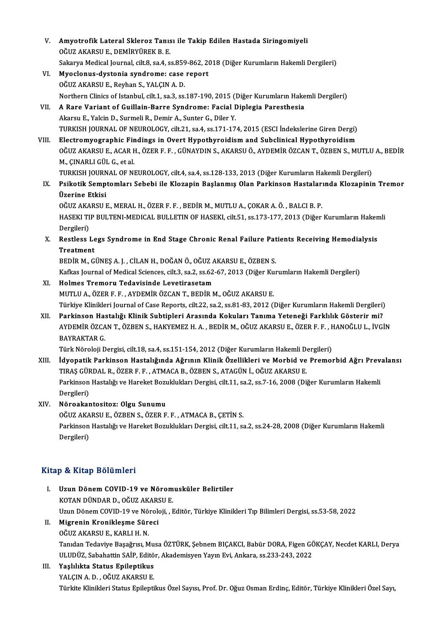V. Amyotrofik Lateral Skleroz Tanısı ile Takip Edilen Hastada Siringomiyeli Amyotrofik Lateral Skleroz Tanıs<br>OĞUZ AKARSU E., DEMİRYÜREK B. E.<br>Sakarıc Medisəl Jayınal, silt 8,234,4 Amyotrofik Lateral Skleroz Tanısı ile Takip Edilen Hastada Siringomiyeli<br>OĞUZ AKARSU E., DEMİRYÜREK B. E.<br>Sakarya Medical Journal, cilt.8, sa.4, ss.859-862, 2018 (Diğer Kurumların Hakemli Dergileri)<br>Muaalanus duatania sund OĞUZ AKARSU E., DEMIRYÜREK B. E.<br>Sakarya Medical Journal, cilt.8, sa.4, ss.859-862, 20<br>VI. Myoclonus-dystonia syndrome: case report Sakarya Medical Journal, cilt.8, sa.4, ss.859<br>Myoclonus-dystonia syndrome: case<br>OĞUZ AKARSU E., Reyhan S., YALÇIN A. D.<br>Northern Clinics of Istanbul, cilt.1, sa.2, ss. OĞUZ AKARSU E., Reyhan S., YALÇIN A. D.<br>Northern Clinics of Istanbul, cilt.1, sa.3, ss.187-190, 2015 (Diğer Kurumların Hakemli Dergileri) OĞUZ AKARSU E., Reyhan S., YALÇIN A. D.<br>Northern Clinics of Istanbul, cilt.1, sa.3, ss.187-190, 2015 (Diğer Kurumların Hake<br>VII. A Rare Variant of Guillain-Barre Syndrome: Facial Diplegia Paresthesia<br>Akarey E. Yakin D. Northern Clinics of Istanbul, cilt.1, sa.3, ss.187-190, 2015 (1<br>A Rare Variant of Guillain-Barre Syndrome: Facial I<br>Akarsu E., Yalcin D., Surmeli R., Demir A., Sunter G., Diler Y.<br>TURKISH JOURNAL OF NEUROLOCY silt 21, se.4 Akarsu E., Yalcin D., Surmeli R., Demir A., Sunter G., Diler Y.<br>TURKISH JOURNAL OF NEUROLOGY, cilt.21, sa.4, ss.171-174, 2015 (ESCI İndekslerine Giren Dergi) Akarsu E., Yalcin D., Surmeli R., Demir A., Sunter G., Diler Y.<br>TURKISH JOURNAL OF NEUROLOGY, cilt.21, sa.4, ss.171-174, 2015 (ESCI İndekslerine Giren Dergi)<br>VIII. Electromyographic Findings in Overt Hypothyroidism and Sub TURKISH JOURNAL OF NEUROLOGY, cilt.21, sa.4, ss.171-174, 2015 (ESCI İndekslerine Giren Dergi)<br>Electromyographic Findings in Overt Hypothyroidism and Subclinical Hypothyroidism<br>OĞUZ AKARSU E., ACAR H., ÖZER F. F. , GÜNAYDIN Electromyographic Fir<br>OĞUZ AKARSU E., ACAR I<br>M., ÇINARLI GÜL G., et al.<br>TURKISH JOURNAL OF NI OĞUZ AKARSU E., ACAR H., ÖZER F. F. , GÜNAYDIN S., AKARSU Ö., AYDEMİR ÖZCAN T., ÖZBEN S., MUTLU<br>M., ÇINARLI GÜL G., et al.<br>TURKISH JOURNAL OF NEUROLOGY, cilt.4, sa.4, ss.128-133, 2013 (Diğer Kurumların Hakemli Dergileri)<br>P M., ÇINARLI GÜL G., et al.<br>TURKISH JOURNAL OF NEUROLOGY, cilt.4, sa.4, ss.128-133, 2013 (Diğer Kurumların Hakemli Dergileri)<br>IX. Psikotik Semptomları Sebebi ile Klozapin Başlanmış Olan Parkinson Hastalarında Klozapinin TURKISH JOURN<br>Psikotik Semp<br>Üzerine Etkisi<br>Očuz AKARSU I Psikotik Semptomları Sebebi ile Klozapin Başlanmış Olan Parkinson Hastaları<br>Üzerine Etkisi<br>OĞUZ AKARSU E., MERAL H., ÖZER F. F. , BEDİR M., MUTLU A., ÇOKAR A. Ö. , BALCI B. P.<br>HASEKI TIR PULTENI MEDICAL PULLETIN OF HASEKI Üzerine Etkisi<br>OĞUZ AKARSU E., MERAL H., ÖZER F. F. , BEDİR M., MUTLU A., ÇOKAR A. Ö. , BALCI B. P.<br>HASEKI TIP BULTENI-MEDICAL BULLETIN OF HASEKI, cilt.51, ss.173-177, 2013 (Diğer Kurumların Hakemli<br>Dergileri) OĞUZ AKARSU E., MERAL H., ÖZER F. F., BEDİR M., MUTLU A., ÇOKAR A. Ö., BALCI B. P. HASEKI TIP BULTENI-MEDICAL BULLETIN OF HASEKI, cilt.51, ss.173-177, 2013 (Diğer Kurumların Haken<br>Dergileri)<br>X. Restless Legs Syndrome in End Stage Chronic Renal Failure Patients Receiving Hemodialysis<br>Treatment Dergileri)<br>Restless Le<br>Treatment<br>PEDIP M. C Restless Legs Syndrome in End Stage Chronic Renal Failure Pat<br>Treatment<br>BEDİR M., GÜNEŞ A. J. , CİLAN H., DOĞAN Ö., OĞUZ AKARSU E., ÖZBEN S.<br>Kafkas Journal of Modisal Ssionses, silt 3, sə 3, ss 62, 67, 2013 (Diğer Kur Treatment<br>BEDİR M., GÜNEŞ A. J. , CİLAN H., DOĞAN Ö., OĞUZ AKARSU E., ÖZBEN S.<br>Kafkas Journal of Medical Sciences, cilt.3, sa.2, ss.62-67, 2013 (Diğer Kurumların Hakemli Dergileri)<br>Halmes Tramaru Tedavisinde Levetirasetam BEDİR M., GÜNEŞ A. J. , CİLAN H., DOĞAN Ö., OĞUZ AKARSU E., ÖZBEN S.<br>Kafkas Journal of Medical Sciences, cilt.3, sa.2, ss.62-67, 2013 (Diğer Kur<br>XI. Holmes Tremoru Tedavisinde Levetirasetam<br>MUTLU A., ÖZER F. F. , AYDEMİR Ö Kafkas Journal of Medical Sciences, cilt.3, sa.2, ss.62-67, 2013 (Diğer Ku<br>Holmes Tremoru Tedavisinde Levetirasetam<br>MUTLU A., ÖZER F. F. , AYDEMİR ÖZCAN T., BEDİR M., OĞUZ AKARSU E.<br>Türkiye Klinikleri Journal of Case Bener Holmes Tremoru Tedavisinde Levetirasetam<br>MUTLU A., ÖZER F. F. , AYDEMİR ÖZCAN T., BEDİR M., OĞUZ AKARSU E.<br>Türkiye Klinikleri Journal of Case Reports, cilt.22, sa.2, ss.81-83, 2012 (Diğer Kurumların Hakemli Dergileri)<br>Park MUTLU A., ÖZER F. F. , AYDEMİR ÖZCAN T., BEDİR M., OĞUZ AKARSU E.<br>Türkiye Klinikleri Journal of Case Reports, cilt.22, sa.2, ss.81-83, 2012 (Diğer Kurumların Hakemli Dergileri)<br>XII. Parkinson Hastalığı Klinik Subtipler Türkiye Klinikleri Journal of Case Reports, cilt.22, sa.2, ss.81-83, 2012 (Diğer Kurumların Hakemli Dergileri)<br>Parkinson Hastalığı Klinik Subtipleri Arasında Kokuları Tanıma Yeteneği Farklılık Gösterir mi?<br>AYDEMİR ÖZCAN T. Parkinson Has<br>AYDEMİR ÖZCA<br>BAYRAKTAR G.<br>Türk Nöroloji D AYDEMİR ÖZCAN T., ÖZBEN S., HAKYEMEZ H. A. , BEDİR M., OĞUZ AKARSU E., ÖZER F. F. , I<br>BAYRAKTAR G.<br>Türk Nöroloji Dergisi, cilt.18, sa.4, ss.151-154, 2012 (Diğer Kurumların Hakemli Dergileri)<br>İduonatik Perkinson Hastalığınd BAYRAKTAR G.<br>Türk Nöroloji Dergisi, cilt.18, sa.4, ss.151-154, 2012 (Diğer Kurumların Hakemli Dergileri)<br>XIII. İdyopatik Parkinson Hastalığında Ağrının Klinik Özellikleri ve Morbid ve Premorbid Ağrı Prevalansı<br>TIRAS GÜRDAL Türk Nöroloji Dergisi, cilt.18, sa.4, ss.151-154, 2012 (Diğer Kurumların Hakemli Dendi<br>İdyopatik Parkinson Hastalığında Ağrının Klinik Özellikleri ve Morbid ve<br>TIRAŞ GÜRDAL R., ÖZER F. F. , ATMACA B., ÖZBEN S., ATAGÜN İ., İdyopatik Parkinson Hastalığında Ağrının Klinik Özellikleri ve Morbid ve Premorbid Ağrı Prev<br>TIRAŞ GÜRDAL R., ÖZER F. F. , ATMACA B., ÖZBEN S., ATAGÜN İ., OĞUZ AKARSU E.<br>Parkinson Hastalığı ve Hareket Bozuklukları Dergisi, TIRAŞ GÜF<br>Parkinson<br>Dergileri)<br>Nönoakar XIV. Nöroakantositoz: Olgu Sunumu Dergileri)<br>Nöroakantositoz: Olgu Sunumu<br>OĞUZ AKARSU E., ÖZBEN S., ÖZER F. F. , ATMACA B., ÇETİN S.<br>Perkinsen Hastalığı ve Harakat Beruklukları Dergisi, silt 11, se Parkinson Hastalığı ve Hareket Bozuklukları Dergisi, cilt.11, sa.2, ss.24-28, 2008 (Diğer Kurumların Hakemli Dergileri) OĞUZ AKA<br>Parkinson<br>Dergileri)

#### Kitap & Kitap Bölümleri

- Itap & Kitap Bölümleri<br>I. Uzun Dönem COVID-19 ve Nöromusküler Belirtiler<br>KOTAN DÜNDAR D. QĞUZ AKARSU E **Extral Dolumnom**<br>Uzun Dönem COVID-19 ve Nörom<br>KOTAN DÜNDAR D., OĞUZ AKARSU E.<br>Uzun Dönem COVID-19 ve Nöroleji - E KOTAN DÜNDAR D., OĞUZ AKARSU E.<br>Uzun Dönem COVID-19 ve Nöroloji, , Editör, Türkiye Klinikleri Tıp Bilimleri Dergisi, ss.53-58, 2022 KOTAN DÜNDAR D., OĞUZ AKARS<br>Uzun Dönem COVID-19 ve Nörok<br>II. **Migrenin Kronikleşme Süreci**<br>OĞUZ AKARSU E. KARLLH N
- Uzun Dönem COVID-19 ve Nö<br>Migrenin Kronikleşme Sür<br>OĞUZ AKARSU E., KARLI H. N.<br>Tandan Tadaviya Basağmay M

OĞUZ AKARSU E., KARLI H. N.<br>Tanıdan Tedaviye Başağrısı, Musa ÖZTÜRK, Şebnem BIÇAKCI, Babür DORA, Figen GÖKÇAY, Necdet KARLI, Derya OĞUZ AKARSU E., KARLI H. N.<br>Tanıdan Tedaviye Başağrısı, Musa ÖZTÜRK, Şebnem BIÇAKCI, Babür DORA, Figen GÖ<br>ULUDÜZ, Sabahattin SAİP, Editör, Akademisyen Yayın Evi, Ankara, ss.233-243, 2022<br>Yoskkkta Status Epilantikve

III. Yaşlılıkta Status Epileptikus<br>YALÇIN A.D., OĞUZ AKARSU E. ULUDÜZ, Sabahattin SAİP, Editö<br>Yaşlılıkta Status Epileptikus<br>YALÇIN A. D. , OĞUZ AKARSU E.<br>Türkite Klinikleri Status Enilenti Türkite Klinikleri Status Epileptikus Özel Sayısı, Prof. Dr. Oğuz Osman Erdinç, Editör, Türkiye Klinikleri Özel Sayı,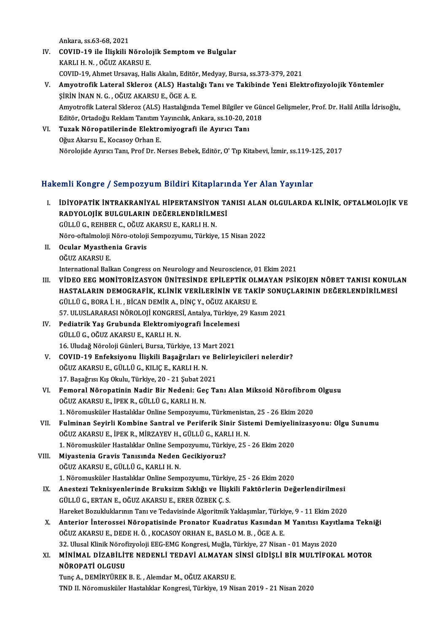Ankara, ss.63-68,2021

- Ankara, ss.63-68, 2021<br>IV. COVID-19 ile İlişkili Nörolojik Semptom ve Bulgular<br>KARLLH N. QČUZ AKARSU E Ankara, ss.63-68, 2021<br>COVID-19 ile İlişkili Nörolo<br>KARLI H. N. , OĞUZ AKARSU E.<br>COVID 19. Abmet Ungayes Hal KARLI H. N. , OĞUZ AKARSU E.<br>COVID-19, Ahmet Ursavaş, Halis Akalın, Editör, Medyay, Bursa, ss.373-379, 2021
- V. Amyotrofik Lateral Skleroz (ALS) Hastalığı Tanı ve Takibinde Yeni Elektrofizyolojik Yöntemler ŞİRİNİNANN.G. ,OĞUZAKARSUE.,ÖGEA.E. Amyotrofik Lateral Skleroz (ALS) Hastalığı Tanı ve Takibinde Yeni Elektrofizyolojik Yöntemler<br>ŞİRİN İNAN N. G. , OĞUZ AKARSU E., ÖGE A. E.<br>Amyotrofik Lateral Skleroz (ALS) Hastalığında Temel Bilgiler ve Güncel Gelişmeler, ŞİRİN İNAN N. G. , OĞUZ AKARSU E., ÖGE A. E.<br>Amyotrofik Lateral Skleroz (ALS) Hastalığında Temel Bilgiler ve Güı<br>Editör, Ortadoğu Reklam Tanıtım Yayıncılık, Ankara, ss.10-20, 2018<br>Tugak Nöronatilerinde Elektromiyesrafi ile Amyotrofik Lateral Skleroz (ALS) Hastalığında Temel Bilgiler ve<br>Editör, Ortadoğu Reklam Tanıtım Yayıncılık, Ankara, ss.10-20, 2<br>VI. Tuzak Nöropatilerinde Elektromiyografi ile Ayırıcı Tanı<br>Oğuz Akarey E. Kosassu Orban E.
- Editör, Ortadoğu Reklam Tanıtım<br>Tuzak Nöropatilerinde Elektro<br>Oğuz Akarsu E., Kocasoy Orhan E.<br>Nörolojide Aurus Tanı, Brof Dr. N Oğuz Akarsu E., Kocasoy Orhan E.<br>Nörolojide Ayırıcı Tanı, Prof Dr. Nerses Bebek, Editör, O' Tıp Kitabevi, İzmir, ss.119-125, 2017

#### Hakemli Kongre / Sempozyum Bildiri Kitaplarında Yer Alan Yayınlar

akemli Kongre / Sempozyum Bildiri Kitaplarında Yer Alan Yayınlar<br>I. İDİYOPATİK İNTRAKRANİYAL HİPERTANSİYON TANISI ALAN OLGULARDA KLİNİK, OFTALMOLOJİK VE<br>RADYOLOJİK BULGULARIN DEĞERI ENDİRLI MESİ ANIT IRADELET YESIMLERINI DIRITI IRADIYON TARADIYON TARADIYON TARADIYON TARADIYON TARADIYON TARADIYON TARADIYON<br>RADYOLOJİK BULGULARIN DEĞERLENDİRİLMESİ<br>CÜLLÜ CEREPER GEQÖLIZ AKARSLI ELKARLLU N İDİYOPATİK İNTRAKRANİYAL HİPERTANSIYON<br>RADYOLOJİK BULGULARIN DEĞERLENDİRİLMI<br>GÜLLÜ G., REHBER C., OĞUZ AKARSU E., KARLI H. N.<br>Nöre eftelmeleli Nöre eteleli Semnewnumu. Türkiye RADYOLOJİK BULGULARIN DEĞERLENDİRİLMESİ<br>GÜLLÜ G., REHBER C., OĞUZ AKARSU E., KARLI H. N.<br>Nöro-oftalmoloji Nöro-otoloji Sempozyumu, Türkiye, 15 Nisan 2022<br>Qavlar Muastbania Cravis. GÜLLÜ G., REHBER C., OĞUZ AKARSU E., KARLI H. N.<br>Nöro-oftalmoloji Nöro-otoloji Sempozyumu, Türkiye<br>II. Ocular Myasthenia Gravis<br>OĞUZ AKARSU E. Nöro-oftalmoloji<br>Ocular Myasthe<br>OĞUZ AKARSU E.<br>International Pall International Balkan Congress on Neurology and Neuroscience, 01 Ekim 2021 OĞUZ AKARSU E.<br>International Balkan Congress on Neurology and Neuroscience, 01 Ekim 2021<br>III. VİDEO EEG MONİTORİZASYON ÜNİTESİNDE EPİLEPTİK OLMAYAN PSİKOJEN NÖBET TANISI KONULAN<br>HASTALARIN DEMOCRAFİK, KLİNİK VERLI ERİN International Balkan Congress on Neurology and Neuroscience, 01 Ekim 2021<br>VİDEO EEG MONİTORİZASYON ÜNİTESİNDE EPİLEPTİK OLMAYAN PSİKOJEN NÖBET TANISI KONUL*l*<br>HASTALARIN DEMOGRAFİK, KLİNİK VERİLERİNİN VE TAKİP SONUÇLARININ VİDEO EEG MONİTORİZASYON ÜNİTESİNDE EPİLEPTİK OL<br>HASTALARIN DEMOGRAFİK, KLİNİK VERİLERİNİN VE TAK<br>GÜLLÜ G., BORA İ. H. , BİCAN DEMİR A., DİNÇ Y., OĞUZ AKARSU E.<br>57. HI HSLARASI NÖROLOU KONCRESL ARRIKA Türkike 29 Ka HASTALARIN DEMOGRAFİK, KLİNİK VERİLERİNİN VE TAKİP SONUÇ<br>GÜLLÜ G., BORA İ. H. , BİCAN DEMİR A., DİNÇ Y., OĞUZ AKARSU E.<br>57. ULUSLARARASI NÖROLOJİ KONGRESİ, Antalya, Türkiye, 29 Kasım 2021<br>Bodiatrik Yes Grubunda Elektromiya GÜLLÜ G., BORA İ. H. , BİCAN DEMİR A., DİNÇ Y., OĞUZ AKAF<br>57. ULUSLARARASI NÖROLOJİ KONGRESİ, Antalya, Türkiye, <br>IV. Pediatrik Yaş Grubunda Elektromiyografi İncelemesi<br>6. CÜLLÜ G. QĞUZ AKABSU E. KABLLH N 57. ULUSLARARASI NÖROLOJİ KONGRES<br>Pediatrik Yaş Grubunda Elektromiye.<br>GÜLLÜ G., OĞUZ AKARSU E., KARLI H. N.<br>16. Uludağ Nörolaji Günleri, Bursa Türk Pediatrik Yaş Grubunda Elektromiyografi İncelemes<br>GÜLLÜ G., OĞUZ AKARSU E., KARLI H. N.<br>16. Uludağ Nöroloji Günleri, Bursa, Türkiye, 13 Mart 2021<br>COVID 19. Enfeksiyenu İliskili Basağrıları ve Belirler GÜLLÜ G., OĞUZ AKARSU E., KARLI H. N.<br>16. Uludağ Nöroloji Günleri, Bursa, Türkiye, 13 Mart 2021<br>V. COVID-19 Enfeksiyonu İlişkili Başağrıları ve Belirleyicileri nelerdir?<br>OĞUZ AKARSU E. GÜLLÜ G. KU IC E. KARLLH N. 16. Uludağ Nöroloji Günleri, Bursa, Türkiye, 13 M<br>COVID-19 Enfeksiyonu İlişkili Başağrıları ve<br>OĞUZ AKARSU E., GÜLLÜ G., KILIÇ E., KARLI H. N.<br>17 Pasağma Kış Olarlı, Türkiye 20, 21 Subat 20 COVID-19 Enfeksiyonu İlişkili Başağrıları ve B<br>OĞUZ AKARSU E., GÜLLÜ G., KILIÇ E., KARLI H. N.<br>17. Başağrısı Kış Okulu, Türkiye, 20 - 21 Şubat 2021<br>Femeral Nörenatinin Nadir Bir Nadeni: Ces Te OĞUZ AKARSU E., GÜLLÜ G., KILIÇ E., KARLI H. N.<br>17. Başağrısı Kış Okulu, Türkiye, 20 - 21 Şubat 2021<br>VI. Femoral Nöropatinin Nadir Bir Nedeni: Geç Tanı Alan Miksoid Nörofibrom Olgusu<br>OĞUZ AKARSU E. İDEK B. GÜLLÜ G. KAR 17. Başağrısı Kış Okulu, Türkiye, 20 - 21 Şubat 20<br>Femoral Nöropatinin Nadir Bir Nedeni: Geç<br>OĞUZ AKARSU E., İPEK R., GÜLLÜ G., KARLI H. N.<br>1. Nöromusküler Hestelikler Orline Semporuumu Femoral Nöropatinin Nadir Bir Nedeni: Geç Tanı Alan Miksoid Nörofibrom<br>OĞUZ AKARSU E., İPEK R., GÜLLÜ G., KARLI H. N.<br>1. Nöromusküler Hastalıklar Online Sempozyumu, Türkmenistan, 25 - 26 Ekim 2020<br>Eulminan Sevizli Kambine OĞUZ AKARSU E., İPEK R., GÜLLÜ G., KARLI H. N.<br>1. Nöromusküler Hastalıklar Online Sempozyumu, Türkmenistan, 25 - 26 Ekim 2020<br>VII. Fulminan Seyirli Kombine Santral ve Periferik Sinir Sistemi Demiyelinizasyonu: Olgu Sun 1. Nöromusküler Hastalıklar Online Sempozyumu, Türkmenistan, 25 - 26 Ekim 2020<br>Fulminan Seyirli Kombine Santral ve Periferik Sinir Sistemi Demiyelinizasy<br>OĞUZ AKARSU E., İPEK R., MİRZAYEV H., GÜLLÜ G., KARLI H. N.<br>1. Nörom Fulminan Seyirli Kombine Santral ve Periferik Sinir Sistemi Demiyelii<br>OĞUZ AKARSU E., İPEK R., MİRZAYEV H., GÜLLÜ G., KARLI H. N.<br>1. Nöromusküler Hastalıklar Online Sempozyumu, Türkiye, 25 - 26 Ekim 2020<br>Miyastania Cravis VIII. Miyastenia Gravis Tanısında Neden Gecikiyoruz? OĞUZAKARSUE.,GÜLLÜG.,KARLIH.N. Miyastenia Gravis Tanısında Neden Gecikiyoruz?<br>OĞUZ AKARSU E., GÜLLÜ G., KARLI H. N.<br>1. Nöromusküler Hastalıklar Online Sempozyumu, Türkiye, 25 - 26 Ekim 2020<br>Anesteri Teknisyenlerinde Bruksizm Sıklığı ve İlişkili Fektörle IX. Anestezi Teknisyenlerinde Bruksizm Sıklığı ve İlişkili Faktörlerin Değerlendirilmesi<br>GÜLLÜ G. ERTAN E. OĞUZ AKARSU E. ERER ÖZBEK C. S. 1. Nöromusküler Hastalıklar Online Sempozyumu, Türkiy<br>Anestezi Teknisyenlerinde Bruksizm Sıklığı ve İlişl<br>GÜLLÜ G., ERTAN E., OĞUZ AKARSU E., ERER ÖZBEK Ç. S.<br>Hareket Perukluklarının Tanı ve Tedevisinde Alsoritmik Hareket Bozukluklarının Tanı ve Tedavisinde Algoritmik Yaklaşımlar, Türkiye, 9 - 11 Ekim 2020 GÜLLÜ G., ERTAN E., OĞUZ AKARSU E., ERER ÖZBEK Ç. S.<br>Hareket Bozukluklarının Tanı ve Tedavisinde Algoritmik Yaklaşımlar, Türkiye, 9 - 11 Ekim 2020<br>X. Anterior İnterossei Nöropatisinde Pronator Kuadratus Kasından M Yanıtısı Hareket Bozukluklarının Tanı ve Tedavisinde Algoritmik Yaklaşımlar, Türki<br>Anterior İnterossei Nöropatisinde Pronator Kuadratus Kasından |<br>OĞUZ AKARSU E., DEDE H. Ö. , KOCASOY ORHAN E., BASLO M. B. , ÖGE A. E.<br>22 Hlugal Kin Anterior İnterossei Nöropatisinde Pronator Kuadratus Kasından M Yanıtısı Kayıtl<br>OĞUZ AKARSU E., DEDE H. Ö. , KOCASOY ORHAN E., BASLO M. B. , ÖGE A. E.<br>32. Ulusal Klinik Nörofizyoloji EEG-EMG Kongresi, Muğla, Türkiye, 27 Ni OĞUZ AKARSU E., DEDE H. Ö. , KOCASOY ORHAN E., BASLO M. B. , ÖGE A. E.<br>32. Ulusal Klinik Nörofizyoloji EEG-EMG Kongresi, Muğla, Türkiye, 27 Nisan - 01 Mayıs 2020<br>XI. MİNİMAL DİZABİLİTE NEDENLİ TEDAVİ ALMAYAN SİNSİ GİDİŞLİ 32. Ulusal Klinik Nörof<br>MİNİMAL DİZABİLİT<br>NÖROPATİ OLGUSU<br>Tuna A DEMİRVÜREK MİNİMAL DİZABİLİTE NEDENLİ TEDAVİ ALMAYAN :<br>NÖROPATİ OLGUSU<br>Tunç A., DEMİRYÜREK B. E. , Alemdar M., OĞUZ AKARSU E.<br>TND IL Näromusküler Hestabliker Konspeci Türkiye 19 Ni NÖROPATİ OLGUSU<br>Tunç A., DEMİRYÜREK B. E. , Alemdar M., OĞUZ AKARSU E.<br>TND II. Nöromusküler Hastalıklar Kongresi, Türkiye, 19 Nisan 2019 - 21 Nisan 2020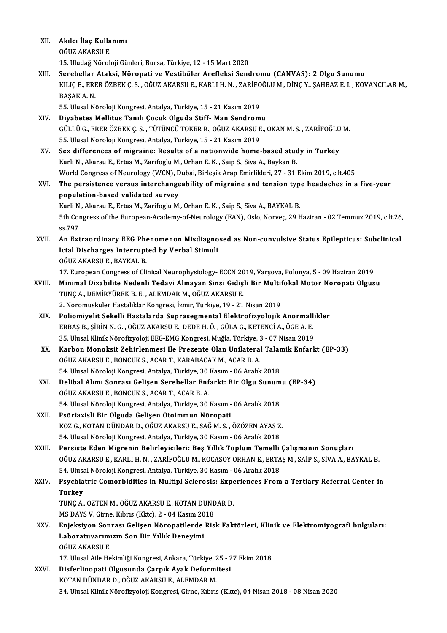| XII.   | Akılcı İlaç Kullanımı                                                                                        |
|--------|--------------------------------------------------------------------------------------------------------------|
|        | OĞUZ AKARSU E.                                                                                               |
|        | 15. Uludağ Nöroloji Günleri, Bursa, Türkiye, 12 - 15 Mart 2020                                               |
| XIII.  | Serebellar Ataksi, Nöropati ve Vestibüler Arefleksi Sendromu (CANVAS): 2 Olgu Sunumu                         |
|        | KILIÇ E., ERER ÖZBEK Ç. S., OĞUZ AKARSU E., KARLI H. N., ZARİFOĞLU M., DİNÇ Y., ŞAHBAZ E. I., KOVANCILAR M., |
|        | BAŞAK A.N.                                                                                                   |
|        | 55. Ulusal Nöroloji Kongresi, Antalya, Türkiye, 15 - 21 Kasım 2019                                           |
| XIV.   | Diyabetes Mellitus Tanılı Çocuk Olguda Stiff- Man Sendromu                                                   |
|        | GÜLLÜ G., ERER ÖZBEK Ç. S., TÜTÜNCÜ TOKER R., OĞUZ AKARSU E., OKAN M. S., ZARİFOĞLU M.                       |
|        | 55. Ulusal Nöroloji Kongresi, Antalya, Türkiye, 15 - 21 Kasım 2019                                           |
| XV.    | Sex differences of migraine: Results of a nationwide home-based study in Turkey                              |
|        | Karli N., Akarsu E., Ertas M., Zarifoglu M., Orhan E. K., Saip S., Siva A., Baykan B.                        |
|        | World Congress of Neurology (WCN), Dubai, Birleşik Arap Emirlikleri, 27 - 31 Ekim 2019, cilt.405             |
| XVI.   | The persistence versus interchangeability of migraine and tension type headaches in a five-year              |
|        | population-based validated survey                                                                            |
|        | Karli N., Akarsu E., Ertas M., Zarifoglu M., Orhan E. K., Saip S., Siva A., BAYKAL B.                        |
|        | 5th Congress of the European-Academy-of-Neurology (EAN), Oslo, Norveç, 29 Haziran - 02 Temmuz 2019, cilt.26, |
|        | ss.797                                                                                                       |
| XVII.  | An Extraordinary EEG Phenomenon Misdiagnosed as Non-convulsive Status Epilepticus: Subclinical               |
|        | Ictal Discharges Interrupted by Verbal Stimuli                                                               |
|        | OĞUZ AKARSU E, BAYKAL B.                                                                                     |
|        | 17. European Congress of Clinical Neurophysiology-ECCN 2019, Varsova, Polonya, 5 - 09 Haziran 2019           |
| XVIII. | Minimal Dizabilite Nedenli Tedavi Almayan Sinsi Gidişli Bir Multifokal Motor Nöropati Olgusu                 |
|        | TUNÇ A., DEMİRYÜREK B. E., ALEMDAR M., OĞUZ AKARSU E.                                                        |
|        | 2. Nöromusküler Hastalıklar Kongresi, İzmir, Türkiye, 19 - 21 Nisan 2019                                     |
| XIX.   | Poliomiyelit Sekelli Hastalarda Suprasegmental Elektrofizyolojik Anormallikler                               |
|        | ERBAŞ B., ŞİRİN N. G., OĞUZ AKARSU E., DEDE H. Ö., GÜLA G., KETENCİ A., ÖGE A. E.                            |
|        | 35. Ulusal Klinik Nörofizyoloji EEG-EMG Kongresi, Muğla, Türkiye, 3 - 07 Nisan 2019                          |
| XX.    | Karbon Monoksit Zehirlenmesi İle Prezente Olan Unilateral Talamik Enfarkt (EP-33)                            |
|        | OĞUZ AKARSU E., BONCUK S., ACAR T., KARABACAK M., ACAR B. A.                                                 |
|        | 54. Ulusal Nöroloji Kongresi, Antalya, Türkiye, 30 Kasım - 06 Aralık 2018                                    |
| XXI.   | Delibal Alımı Sonrası Gelişen Serebellar Enfarkt: Bir Olgu Sunumu (EP-34)                                    |
|        | OĞUZ AKARSU E., BONCUK S., ACAR T., ACAR B. A.                                                               |
|        | 54. Ulusal Nöroloji Kongresi, Antalya, Türkiye, 30 Kasım - 06 Aralık 2018                                    |
| XXII.  | Psöriazisli Bir Olguda Gelişen Otoimmun Nöropati                                                             |
|        | KOZ G., KOTAN DÜNDAR D., OĞUZ AKARSU E., SAĞ M. S. , ÖZÖZEN AYAS Z.                                          |
|        | 54. Ulusal Nöroloji Kongresi, Antalya, Türkiye, 30 Kasım - 06 Aralık 2018                                    |
| XXIII. | Persiste Eden Migrenin Belirleyicileri: Beş Yıllık Toplum Temelli Çalışmanın Sonuçları                       |
|        | OĞUZ AKARSU E., KARLI H. N., ZARİFOĞLU M., KOCASOY ORHAN E., ERTAŞ M., SAİP S., SİVA A., BAYKAL B.           |
|        | 54. Ulusal Nöroloji Kongresi, Antalya, Türkiye, 30 Kasım - 06 Aralık 2018                                    |
| XXIV.  | Psychiatric Comorbidities in Multipl Sclerosis: Experiences From a Tertiary Referral Center in               |
|        | Turkey                                                                                                       |
|        | TUNÇ A., ÖZTEN M., OĞUZ AKARSU E., KOTAN DÜNDAR D.                                                           |
|        | MS DAYS V, Girne, Kıbrıs (Kktc), 2 - 04 Kasım 2018                                                           |
| XXV    | Enjeksiyon Sonrası Gelişen Nöropatilerde Risk Faktörleri, Klinik ve Elektromiyografi bulguları:              |
|        | Laboratuvarımızın Son Bir Yıllık Deneyimi                                                                    |
|        | OĞUZ AKARSU E                                                                                                |
|        | 17. Ulusal Aile Hekimliği Kongresi, Ankara, Türkiye, 25 - 27 Ekim 2018                                       |
| XXVI.  | Disferlinopati Olgusunda Çarpık Ayak Deformitesi                                                             |
|        | KOTAN DÜNDAR D., OĞUZ AKARSU E., ALEMDAR M.                                                                  |
|        | 34. Ulusal Klinik Nörofizyoloji Kongresi, Girne, Kıbrıs (Kktc), 04 Nisan 2018 - 08 Nisan 2020                |
|        |                                                                                                              |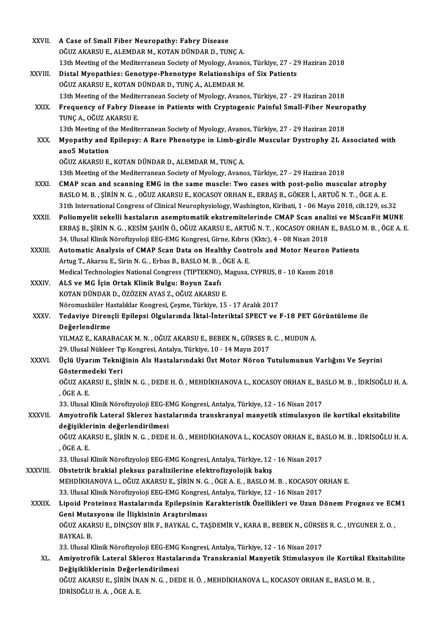| XXVII.       | A Case of Small Fiber Neuropathy: Fabry Disease                                                                                                                                  |
|--------------|----------------------------------------------------------------------------------------------------------------------------------------------------------------------------------|
|              | OĞUZ AKARSU E., ALEMDAR M., KOTAN DÜNDAR D., TUNÇ A.                                                                                                                             |
|              | 13th Meeting of the Mediterranean Society of Myology, Avanos, Türkiye, 27 - 29 Haziran 2018                                                                                      |
| XXVIII.      | Distal Myopathies: Genotype-Phenotype Relationships of Six Patients                                                                                                              |
|              | OĞUZ AKARSU E., KOTAN DÜNDAR D., TUNÇ A., ALEMDAR M.                                                                                                                             |
|              | 13th Meeting of the Mediterranean Society of Myology, Avanos, Türkiye, 27 - 29 Haziran 2018                                                                                      |
| XXIX.        | Frequency of Fabry Disease in Patients with Cryptogenic Painful Small-Fiber Neuropathy                                                                                           |
|              | TUNÇ A., OĞUZ AKARSU E.                                                                                                                                                          |
|              | 13th Meeting of the Mediterranean Society of Myology, Avanos, Türkiye, 27 - 29 Haziran 2018                                                                                      |
| XXX.         | Myopathy and Epilepsy: A Rare Phenotype in Limb-girdle Muscular Dystrophy 2L Associated with                                                                                     |
|              | ano5 Mutation                                                                                                                                                                    |
|              | OĞUZ AKARSU E., KOTAN DÜNDAR D., ALEMDAR M., TUNÇ A.                                                                                                                             |
|              | 13th Meeting of the Mediterranean Society of Myology, Avanos, Türkiye, 27 - 29 Haziran 2018                                                                                      |
| XXXI.        | CMAP scan and scanning EMG in the same muscle: Two cases with post-polio muscular atrophy                                                                                        |
|              | BASLO M. B. , ŞİRİN N. G. , OĞUZ AKARSU E., KOCASOY ORHAN E., ERBAŞ B., GÖKER İ., ARTUĞ N. T. , ÖGE A. E.                                                                        |
|              | 31th International Congress of Clinical Neurophysiology, Washington, Kiribati, 1 - 06 Mayıs 2018, cilt.129, ss 32                                                                |
| <b>XXXII</b> | Poliomyelit sekelli hastaların asemptomatik ekstremitelerinde CMAP Scan analizi ve MScanFit MUNE                                                                                 |
|              | ERBAŞ B., ŞİRİN N. G., KESİM ŞAHİN Ö., OĞUZ AKARSU E., ARTUĞ N. T., KOCASOY ORHAN E., BASLO M. B., ÖGE A. E.                                                                     |
|              | 34. Ulusal Klinik Nörofizyoloji EEG-EMG Kongresi, Girne, Kıbrıs (Kktc), 4 - 08 Nisan 2018                                                                                        |
| XXXIII.      | Automatic Analysis of CMAP Scan Data on Healthy Controls and Motor Neuron Patients                                                                                               |
|              | Artug T., Akarsu E., Sirin N. G., Erbas B., BASLO M. B., ÖGE A. E.<br>Medical Technologies National Congress (TIPTEKNO), Magusa, CYPRUS, 8 - 10 Kasım 2018                       |
| XXXIV.       | ALS ve MG İçin Ortak Klinik Bulgu: Boyun Zaafı                                                                                                                                   |
|              | KOTAN DÜNDAR D., ÖZÖZEN AYAS Z., OĞUZ AKARSU E.                                                                                                                                  |
|              | Nöromusküler Hastalıklar Kongresi, Çeşme, Türkiye, 15 - 17 Aralık 2017                                                                                                           |
| XXXV.        | Tedaviye Dirençli Epilepsi Olgularında İktal-İnteriktal SPECT ve F-18 PET Görüntüleme ile                                                                                        |
|              | Değerlendirme                                                                                                                                                                    |
|              | YILMAZ E., KARABACAK M. N., OĞUZ AKARSU E., BEBEK N., GÜRSES R. C., MUDUN A.                                                                                                     |
|              | 29. Ulusal Nükleer Tıp Kongresi, Antalya, Türkiye, 10 - 14 Mayıs 2017                                                                                                            |
| <b>XXXVI</b> | Üçlü Uyarım Tekniğinin Als Hastalarındaki Üst Motor Nöron Tutulumunun Varlığını Ve Seyrini                                                                                       |
|              | Göstermedeki Yeri                                                                                                                                                                |
|              | OĞUZ AKARSU E., ŞİRİN N. G. , DEDE H. Ö. , MEHDİKHANOVA L., KOCASOY ORHAN E., BASLO M. B. , İDRİSOĞLU H. A.                                                                      |
|              | , ÖGE A. E.                                                                                                                                                                      |
|              | 33. Ulusal Klinik Nörofizyoloji EEG-EMG Kongresi, Antalya, Türkiye, 12 - 16 Nisan 2017                                                                                           |
| XXXVII.      | Amyotrofik Lateral Skleroz hastalarında transkranyal manyetik stimulasyon ile kortikal eksitabilite                                                                              |
|              | değişiklerinin değerlendirilmesi                                                                                                                                                 |
|              | OĞUZ AKARSU E., ŞİRİN N. G. , DEDE H. Ö. , MEHDİKHANOVA L., KOCASOY ORHAN E., BASLO M. B. , İDRİSOĞLU H. A.                                                                      |
|              | , ÖGE A.E.                                                                                                                                                                       |
|              | 33. Ulusal Klinik Nörofizyoloji EEG-EMG Kongresi, Antalya, Türkiye, 12 - 16 Nisan 2017                                                                                           |
| XXXVIII.     | Obstetrik brakial pleksus paralizilerine elektrofizyolojik bakış                                                                                                                 |
|              | MEHDİKHANOVA L., OĞUZ AKARSU E., ŞİRİN N. G., ÖGE A. E., BASLO M. B., KOCASOY ORHAN E.<br>33. Ulusal Klinik Nörofizyoloji EEG-EMG Kongresi, Antalya, Türkiye, 12 - 16 Nisan 2017 |
| <b>XXXIX</b> | Lipoid Proteinoz Hastalarında Epilepsinin Karakteristik Özellikleri ve Uzun Dönem Prognoz ve ECM1                                                                                |
|              | Geni Mutasyonu ile İlişkisinin Araştırılması                                                                                                                                     |
|              | OĞUZ AKARSU E., DİNÇSOY BİR F., BAYKAL C., TAŞDEMİR V., KARA B., BEBEK N., GÜRSES R. C. , UYGUNER Z. O. ,                                                                        |
|              | <b>BAYKAL B</b>                                                                                                                                                                  |
|              | 33. Ulusal Klinik Nörofizyoloji EEG-EMG Kongresi, Antalya, Türkiye, 12 - 16 Nisan 2017                                                                                           |
| XL.          | Amiyotrofik Lateral Skleroz Hastalarında Transkranial Manyetik Stimulasyon ile Kortikal Eksitabilite                                                                             |
|              | Değişikliklerinin Değerlendirilmesi                                                                                                                                              |
|              | OĞUZ AKARSU E., ŞİRİN İNAN N. G., DEDE H. Ö., MEHDİKHANOVA L., KOCASOY ORHAN E., BASLO M. B.,                                                                                    |
|              | IDRISOĞLU H. A., ÖGE A. E.                                                                                                                                                       |
|              |                                                                                                                                                                                  |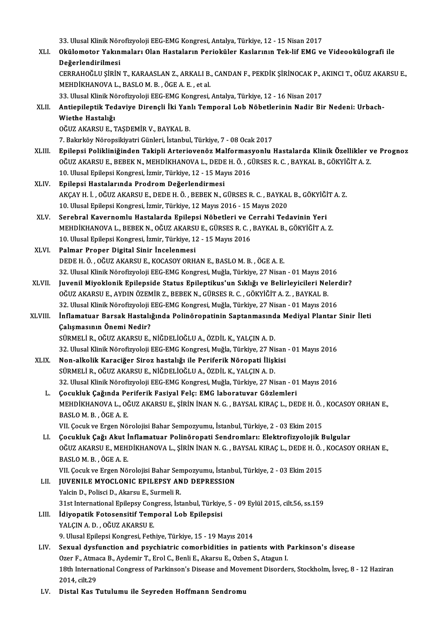33. Ulusal Klinik Nörofizyoloji EEG-EMG Kongresi, Antalya, Türkiye, 12 - 15 Nisan 2017<br>Okülemeter Yakınmaları Olan Hastaların Berisküler Kaslarının Tek lif EMG v

|             | 33. Ulusal Klinik Nörofizyoloji EEG-EMG Kongresi, Antalya, Türkiye, 12 - 15 Nisan 2017                                                                            |
|-------------|-------------------------------------------------------------------------------------------------------------------------------------------------------------------|
| XLI.        | Okülomotor Yakınmaları Olan Hastaların Perioküler Kaslarının Tek-lif EMG ve Videookülografi ile                                                                   |
|             | Değerlendirilmesi                                                                                                                                                 |
|             | CERRAHOĞLU ŞİRİN T., KARAASLAN Z., ARKALI B., CANDAN F., PEKDİK ŞİRİNOCAK P., AKINCI T., OĞUZ AKARSU E.,                                                          |
|             | MEHDİKHANOVA L., BASLO M. B., ÖGE A. E., et al.                                                                                                                   |
|             | 33. Ulusal Klinik Nörofizyoloji EEG-EMG Kongresi, Antalya, Türkiye, 12 - 16 Nisan 2017                                                                            |
| XLII.       | Antiepileptik Tedaviye Dirençli İki Yanlı Temporal Lob Nöbetlerinin Nadir Bir Nedeni: Urbach-                                                                     |
|             | Wiethe Hastalığı                                                                                                                                                  |
|             | OĞUZ AKARSU E., TAŞDEMİR V., BAYKAL B.                                                                                                                            |
|             | 7. Bakırköy Nöropsikiyatri Günleri, İstanbul, Türkiye, 7 - 08 Ocak 2017                                                                                           |
| XLIII.      | Epilepsi Polikliniğinden Takipli Arteriovenöz Malformasyonlu Hastalarda Klinik Özellikler ve Prognoz                                                              |
|             | OĞUZ AKARSU E., BEBEK N., MEHDİKHANOVA L., DEDE H. Ö. , GÜRSES R. C. , BAYKAL B., GÖKYİĞİT A. Z.                                                                  |
|             | 10. Ulusal Epilepsi Kongresi, İzmir, Türkiye, 12 - 15 Mayıs 2016                                                                                                  |
| XLIV.       | Epilepsi Hastalarında Prodrom Değerlendirmesi                                                                                                                     |
|             | AKÇAY H. İ., OĞUZ AKARSU E., DEDE H. Ö., BEBEK N., GÜRSES R. C., BAYKAL B., GÖKYİĞİT A. Z.                                                                        |
|             | 10. Ulusal Epilepsi Kongresi, İzmir, Türkiye, 12 Mayıs 2016 - 15 Mayıs 2020                                                                                       |
| XLV.        | Serebral Kavernomlu Hastalarda Epilepsi Nöbetleri ve Cerrahi Tedavinin Yeri<br>MEHDİKHANOVA L., BEBEK N., OĞUZ AKARSU E., GÜRSES R. C., BAYKAL B., GÖKYİĞİT A. Z. |
|             | 10. Ulusal Epilepsi Kongresi, İzmir, Türkiye, 12 - 15 Mayıs 2016                                                                                                  |
|             | Palmar Proper Digital Sinir Incelenmesi                                                                                                                           |
| XLVI.       | DEDE H. Ö., OĞUZ AKARSU E., KOCASOY ORHAN E., BASLO M. B., ÖGE A. E.                                                                                              |
|             | 32. Ulusal Klinik Nörofizyoloji EEG-EMG Kongresi, Muğla, Türkiye, 27 Nisan - 01 Mayıs 2016                                                                        |
| XLVII.      | Juvenil Miyoklonik Epilepside Status Epileptikus'un Sıklığı ve Belirleyicileri Nelerdir?                                                                          |
|             | OĞUZ AKARSU E., AYDIN ÖZEMİR Z., BEBEK N., GÜRSES R. C. , GÖKYİĞİT A. Z. , BAYKAL B.                                                                              |
|             | 32. Ulusal Klinik Nörofizyoloji EEG-EMG Kongresi, Muğla, Türkiye, 27 Nisan - 01 Mayıs 2016                                                                        |
| XLVIII.     | İnflamatuar Barsak Hastalığında Polinöropatinin Saptanmasında Mediyal Plantar Sinir İleti                                                                         |
|             | Çalışmasının Önemi Nedir?                                                                                                                                         |
|             | SÜRMELİ R., OĞUZ AKARSU E., NİĞDELİOĞLU A., ÖZDİL K., YALÇIN A. D.                                                                                                |
|             | 32. Ulusal Klinik Nörofizyoloji EEG-EMG Kongresi, Muğla, Türkiye, 27 Nisan - 01 Mayıs 2016                                                                        |
| <b>XLIX</b> | Non-alkolik Karaciğer Siroz hastalığı ile Periferik Nöropati İlişkisi                                                                                             |
|             | SÜRMELİ R., OĞUZ AKARSU E., NİĞDELİOĞLU A., ÖZDİL K., YALÇIN A. D.                                                                                                |
|             | 32. Ulusal Klinik Nörofizyoloji EEG-EMG Kongresi, Muğla, Türkiye, 27 Nisan - 01 Mayıs 2016                                                                        |
| L.          | Çocukluk Çağında Periferik Fasiyal Felç: EMG laboratuvar Gözlemleri                                                                                               |
|             | MEHDİKHANOVA L., OĞUZ AKARSU E., ŞİRİN İNAN N. G. , BAYSAL KIRAÇ L., DEDE H. Ö. , KOCASOY ORHAN E.,                                                               |
|             | BASLOM B, ÖGEA E                                                                                                                                                  |
|             | VII. Çocuk ve Ergen Nörolojisi Bahar Sempozyumu, İstanbul, Türkiye, 2 - 03 Ekim 2015                                                                              |
| LI.         | Çocukluk Çağı Akut İnflamatuar Polinöropati Sendromları: Elektrofizyolojik Bulgular                                                                               |
|             | OĞUZ AKARSU E., MEHDİKHANOVA L., ŞİRİN İNAN N. G. , BAYSAL KIRAÇ L., DEDE H. Ö. , KOCASOY ORHAN E.,                                                               |
|             | BASLOM B, ÖGEA E                                                                                                                                                  |
|             | VII. Çocuk ve Ergen Nörolojisi Bahar Sempozyumu, İstanbul, Türkiye, 2 - 03 Ekim 2015                                                                              |
| LII.        | <b>JUVENILE MYOCLONIC EPILEPSY AND DEPRESSION</b>                                                                                                                 |
|             | Yalcin D., Polisci D., Akarsu E., Surmeli R.                                                                                                                      |
|             | 31st International Epilepsy Congress, İstanbul, Türkiye, 5 - 09 Eylül 2015, cilt 56, ss.159                                                                       |
| LIII.       | İdiyopatik Fotosensitif Temporal Lob Epilepsisi                                                                                                                   |
|             | YALÇIN A.D., OĞUZ AKARSU E.                                                                                                                                       |
|             | 9. Ulusal Epilepsi Kongresi, Fethiye, Türkiye, 15 - 19 Mayıs 2014                                                                                                 |
| LIV.        | Sexual dysfunction and psychiatric comorbidities in patients with Parkinson's disease                                                                             |
|             | Ozer F., Atmaca B., Aydemir T., Erol C., Benli E., Akarsu E., Ozben S., Atagun I.                                                                                 |
|             | 18th International Congress of Parkinson's Disease and Movement Disorders, Stockholm, İsveç, 8 - 12 Haziran                                                       |
|             | 2014, cilt 29                                                                                                                                                     |
| LV.         | Distal Kas Tutulumu ile Seyreden Hoffmann Sendromu                                                                                                                |